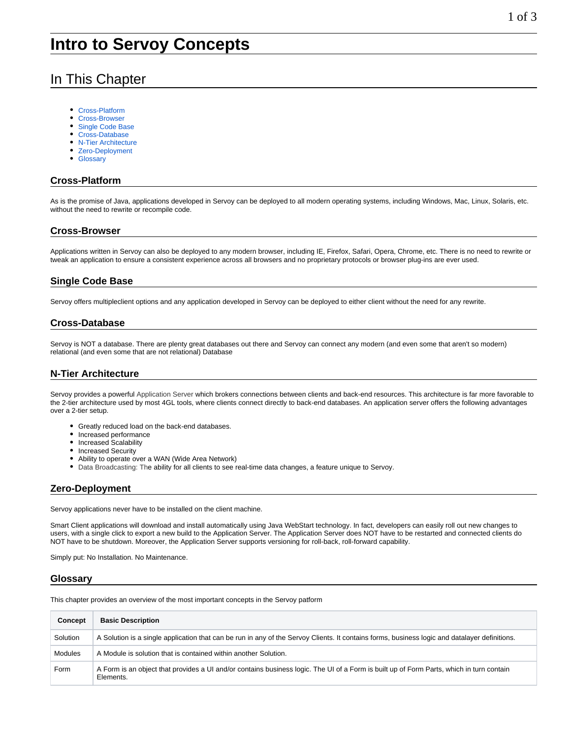# In This Chapter

- [Cross-Platform](#page-0-0)
- $\bullet$ [Cross-Browser](#page-0-1)
- [Single Code Base](#page-0-2)
- [Cross-Database](#page-0-3)
- **[N-Tier Architecture](#page-0-4)**
- [Zero-Deployment](#page-0-5)
- [Glossary](#page-0-6)

#### <span id="page-0-0"></span>**Cross-Platform**

As is the promise of Java, applications developed in Servoy can be deployed to all modern operating systems, including Windows, Mac, Linux, Solaris, etc. without the need to rewrite or recompile code.

## <span id="page-0-1"></span>**Cross-Browser**

Applications written in Servoy can also be deployed to any modern browser, including IE, Firefox, Safari, Opera, Chrome, etc. There is no need to rewrite or tweak an application to ensure a consistent experience across all browsers and no proprietary protocols or browser plug-ins are ever used.

## <span id="page-0-2"></span>**Single Code Base**

Servoy offers multipleclient options and any application developed in Servoy can be deployed to either client without the need for any rewrite.

#### <span id="page-0-3"></span>**Cross-Database**

Servoy is NOT a database. There are plenty great databases out there and Servoy can connect any modern (and even some that aren't so modern) relational (and even some that are not relational) Database

## <span id="page-0-4"></span>**N-Tier Architecture**

Servoy provides a powerful Application Server which brokers connections between clients and back-end resources. This architecture is far more favorable to the 2-tier architecture used by most 4GL tools, where clients connect directly to back-end databases. An application server offers the following advantages over a 2-tier setup.

- Greatly reduced load on the back-end databases.
- Increased performance
- Increased Scalability
- Increased Security
- Ability to operate over a WAN (Wide Area Network)
- Data Broadcasting: The ability for all clients to see real-time data changes, a feature unique to Servoy.

## <span id="page-0-5"></span>**Zero-Deployment**

Servoy applications never have to be installed on the client machine.

Smart Client applications will download and install automatically using Java WebStart technology. In fact, developers can easily roll out new changes to users, with a single click to export a new build to the Application Server. The Application Server does NOT have to be restarted and connected clients do NOT have to be shutdown. Moreover, the Application Server supports versioning for roll-back, roll-forward capability.

Simply put: No Installation. No Maintenance.

#### <span id="page-0-6"></span>**Glossary**

This chapter provides an overview of the most important concepts in the Servoy patform

| Concept  | <b>Basic Description</b>                                                                                                                              |
|----------|-------------------------------------------------------------------------------------------------------------------------------------------------------|
| Solution | A Solution is a single application that can be run in any of the Servoy Clients. It contains forms, business logic and datalayer definitions.         |
| Modules  | A Module is solution that is contained within another Solution.                                                                                       |
| Form     | A Form is an object that provides a UI and/or contains business logic. The UI of a Form is built up of Form Parts, which in turn contain<br>Elements. |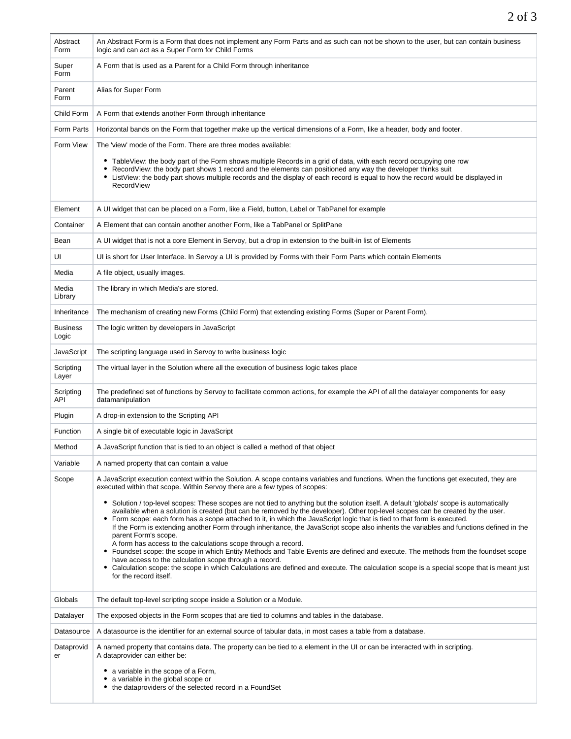| Abstract<br>Form         | An Abstract Form is a Form that does not implement any Form Parts and as such can not be shown to the user, but can contain business<br>logic and can act as a Super Form for Child Forms                                                                                                                                                                                                                                                                                                                                                                                                                                                                                                                                                                                                                                                                                                                                                                                                                         |
|--------------------------|-------------------------------------------------------------------------------------------------------------------------------------------------------------------------------------------------------------------------------------------------------------------------------------------------------------------------------------------------------------------------------------------------------------------------------------------------------------------------------------------------------------------------------------------------------------------------------------------------------------------------------------------------------------------------------------------------------------------------------------------------------------------------------------------------------------------------------------------------------------------------------------------------------------------------------------------------------------------------------------------------------------------|
| Super<br>Form            | A Form that is used as a Parent for a Child Form through inheritance                                                                                                                                                                                                                                                                                                                                                                                                                                                                                                                                                                                                                                                                                                                                                                                                                                                                                                                                              |
| Parent<br>Form           | Alias for Super Form                                                                                                                                                                                                                                                                                                                                                                                                                                                                                                                                                                                                                                                                                                                                                                                                                                                                                                                                                                                              |
| Child Form               | A Form that extends another Form through inheritance                                                                                                                                                                                                                                                                                                                                                                                                                                                                                                                                                                                                                                                                                                                                                                                                                                                                                                                                                              |
| Form Parts               | Horizontal bands on the Form that together make up the vertical dimensions of a Form, like a header, body and footer.                                                                                                                                                                                                                                                                                                                                                                                                                                                                                                                                                                                                                                                                                                                                                                                                                                                                                             |
| Form View                | The 'view' mode of the Form. There are three modes available:                                                                                                                                                                                                                                                                                                                                                                                                                                                                                                                                                                                                                                                                                                                                                                                                                                                                                                                                                     |
|                          | TableView: the body part of the Form shows multiple Records in a grid of data, with each record occupying one row<br>• RecordView: the body part shows 1 record and the elements can positioned any way the developer thinks suit<br>• ListView: the body part shows multiple records and the display of each record is equal to how the record would be displayed in<br>RecordView                                                                                                                                                                                                                                                                                                                                                                                                                                                                                                                                                                                                                               |
| Element                  | A UI widget that can be placed on a Form, like a Field, button, Label or TabPanel for example                                                                                                                                                                                                                                                                                                                                                                                                                                                                                                                                                                                                                                                                                                                                                                                                                                                                                                                     |
| Container                | A Element that can contain another another Form, like a TabPanel or SplitPane                                                                                                                                                                                                                                                                                                                                                                                                                                                                                                                                                                                                                                                                                                                                                                                                                                                                                                                                     |
| Bean                     | A UI widget that is not a core Element in Servoy, but a drop in extension to the built-in list of Elements                                                                                                                                                                                                                                                                                                                                                                                                                                                                                                                                                                                                                                                                                                                                                                                                                                                                                                        |
| UI                       | UI is short for User Interface. In Servoy a UI is provided by Forms with their Form Parts which contain Elements                                                                                                                                                                                                                                                                                                                                                                                                                                                                                                                                                                                                                                                                                                                                                                                                                                                                                                  |
| Media                    | A file object, usually images.                                                                                                                                                                                                                                                                                                                                                                                                                                                                                                                                                                                                                                                                                                                                                                                                                                                                                                                                                                                    |
| Media<br>Library         | The library in which Media's are stored.                                                                                                                                                                                                                                                                                                                                                                                                                                                                                                                                                                                                                                                                                                                                                                                                                                                                                                                                                                          |
| Inheritance              | The mechanism of creating new Forms (Child Form) that extending existing Forms (Super or Parent Form).                                                                                                                                                                                                                                                                                                                                                                                                                                                                                                                                                                                                                                                                                                                                                                                                                                                                                                            |
| <b>Business</b><br>Logic | The logic written by developers in JavaScript                                                                                                                                                                                                                                                                                                                                                                                                                                                                                                                                                                                                                                                                                                                                                                                                                                                                                                                                                                     |
| JavaScript               | The scripting language used in Servoy to write business logic                                                                                                                                                                                                                                                                                                                                                                                                                                                                                                                                                                                                                                                                                                                                                                                                                                                                                                                                                     |
| Scripting<br>Layer       | The virtual layer in the Solution where all the execution of business logic takes place                                                                                                                                                                                                                                                                                                                                                                                                                                                                                                                                                                                                                                                                                                                                                                                                                                                                                                                           |
| Scripting<br>API         | The predefined set of functions by Servoy to facilitate common actions, for example the API of all the datalayer components for easy<br>datamanipulation                                                                                                                                                                                                                                                                                                                                                                                                                                                                                                                                                                                                                                                                                                                                                                                                                                                          |
| Plugin                   | A drop-in extension to the Scripting API                                                                                                                                                                                                                                                                                                                                                                                                                                                                                                                                                                                                                                                                                                                                                                                                                                                                                                                                                                          |
| Function                 | A single bit of executable logic in JavaScript                                                                                                                                                                                                                                                                                                                                                                                                                                                                                                                                                                                                                                                                                                                                                                                                                                                                                                                                                                    |
| Method                   | A JavaScript function that is tied to an object is called a method of that object                                                                                                                                                                                                                                                                                                                                                                                                                                                                                                                                                                                                                                                                                                                                                                                                                                                                                                                                 |
| Variable                 | A named property that can contain a value                                                                                                                                                                                                                                                                                                                                                                                                                                                                                                                                                                                                                                                                                                                                                                                                                                                                                                                                                                         |
| Scope                    | A JavaScript execution context within the Solution. A scope contains variables and functions. When the functions get executed, they are<br>executed within that scope. Within Servoy there are a few types of scopes:                                                                                                                                                                                                                                                                                                                                                                                                                                                                                                                                                                                                                                                                                                                                                                                             |
|                          | • Solution / top-level scopes: These scopes are not tied to anything but the solution itself. A default 'globals' scope is automatically<br>available when a solution is created (but can be removed by the developer). Other top-level scopes can be created by the user.<br>• Form scope: each form has a scope attached to it, in which the JavaScript logic that is tied to that form is executed.<br>If the Form is extending another Form through inheritance, the JavaScript scope also inherits the variables and functions defined in the<br>parent Form's scope.<br>A form has access to the calculations scope through a record.<br>• Foundset scope: the scope in which Entity Methods and Table Events are defined and execute. The methods from the foundset scope<br>have access to the calculation scope through a record.<br>• Calculation scope: the scope in which Calculations are defined and execute. The calculation scope is a special scope that is meant just<br>for the record itself. |
| Globals                  | The default top-level scripting scope inside a Solution or a Module.                                                                                                                                                                                                                                                                                                                                                                                                                                                                                                                                                                                                                                                                                                                                                                                                                                                                                                                                              |
| Datalayer                | The exposed objects in the Form scopes that are tied to columns and tables in the database.                                                                                                                                                                                                                                                                                                                                                                                                                                                                                                                                                                                                                                                                                                                                                                                                                                                                                                                       |
| Datasource               | A datasource is the identifier for an external source of tabular data, in most cases a table from a database.                                                                                                                                                                                                                                                                                                                                                                                                                                                                                                                                                                                                                                                                                                                                                                                                                                                                                                     |
| Dataprovid<br>er         | A named property that contains data. The property can be tied to a element in the UI or can be interacted with in scripting.<br>A dataprovider can either be:                                                                                                                                                                                                                                                                                                                                                                                                                                                                                                                                                                                                                                                                                                                                                                                                                                                     |
|                          | • a variable in the scope of a Form,<br>• a variable in the global scope or<br>• the dataproviders of the selected record in a FoundSet                                                                                                                                                                                                                                                                                                                                                                                                                                                                                                                                                                                                                                                                                                                                                                                                                                                                           |